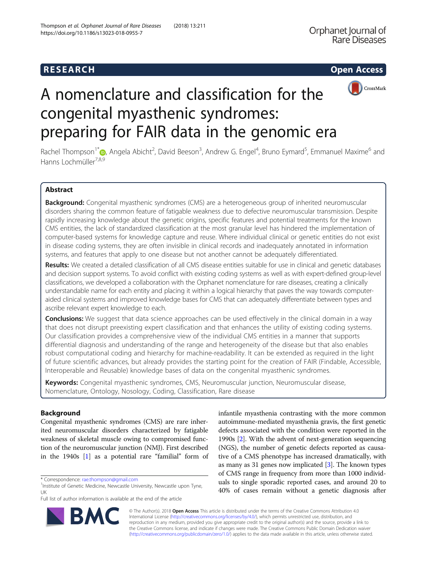



# A nomenclature and classification for the congenital myasthenic syndromes: preparing for FAIR data in the genomic era

Rachel Thompson<sup>1\*</sup> (@[,](http://orcid.org/0000-0002-6889-0121) Angela Abicht<sup>2</sup>, David Beeson<sup>3</sup>, Andrew G. Engel<sup>4</sup>, Bruno Eymard<sup>5</sup>, Emmanuel Maxime<sup>6</sup> and Hanns Lochmüller<sup>7,8,9</sup>

# Abstract

Background: Congenital myasthenic syndromes (CMS) are a heterogeneous group of inherited neuromuscular disorders sharing the common feature of fatigable weakness due to defective neuromuscular transmission. Despite rapidly increasing knowledge about the genetic origins, specific features and potential treatments for the known CMS entities, the lack of standardized classification at the most granular level has hindered the implementation of computer-based systems for knowledge capture and reuse. Where individual clinical or genetic entities do not exist in disease coding systems, they are often invisible in clinical records and inadequately annotated in information systems, and features that apply to one disease but not another cannot be adequately differentiated.

Results: We created a detailed classification of all CMS disease entities suitable for use in clinical and genetic databases and decision support systems. To avoid conflict with existing coding systems as well as with expert-defined group-level classifications, we developed a collaboration with the Orphanet nomenclature for rare diseases, creating a clinically understandable name for each entity and placing it within a logical hierarchy that paves the way towards computeraided clinical systems and improved knowledge bases for CMS that can adequately differentiate between types and ascribe relevant expert knowledge to each.

**Conclusions:** We suggest that data science approaches can be used effectively in the clinical domain in a way that does not disrupt preexisting expert classification and that enhances the utility of existing coding systems. Our classification provides a comprehensive view of the individual CMS entities in a manner that supports differential diagnosis and understanding of the range and heterogeneity of the disease but that also enables robust computational coding and hierarchy for machine-readability. It can be extended as required in the light of future scientific advances, but already provides the starting point for the creation of FAIR (Findable, Accessible, Interoperable and Reusable) knowledge bases of data on the congenital myasthenic syndromes.

Keywords: Congenital myasthenic syndromes, CMS, Neuromuscular junction, Neuromuscular disease, Nomenclature, Ontology, Nosology, Coding, Classification, Rare disease

# Background

Congenital myasthenic syndromes (CMS) are rare inherited neuromuscular disorders characterized by fatigable weakness of skeletal muscle owing to compromised function of the neuromuscular junction (NMJ). First described in the 1940s [[1\]](#page-15-0) as a potential rare "familial" form of

**RM** 

Full list of author information is available at the end of the article



© The Author(s). 2018 Open Access This article is distributed under the terms of the Creative Commons Attribution 4.0 International License [\(http://creativecommons.org/licenses/by/4.0/](http://creativecommons.org/licenses/by/4.0/)), which permits unrestricted use, distribution, and reproduction in any medium, provided you give appropriate credit to the original author(s) and the source, provide a link to the Creative Commons license, and indicate if changes were made. The Creative Commons Public Domain Dedication waiver [\(http://creativecommons.org/publicdomain/zero/1.0/](http://creativecommons.org/publicdomain/zero/1.0/)) applies to the data made available in this article, unless otherwise stated.

<sup>\*</sup> Correspondence: [rae.thompson@gmail.com](mailto:rae.thompson@gmail.com) <sup>1</sup>

<sup>&</sup>lt;sup>1</sup>Institute of Genetic Medicine, Newcastle University, Newcastle upon Tyne, UK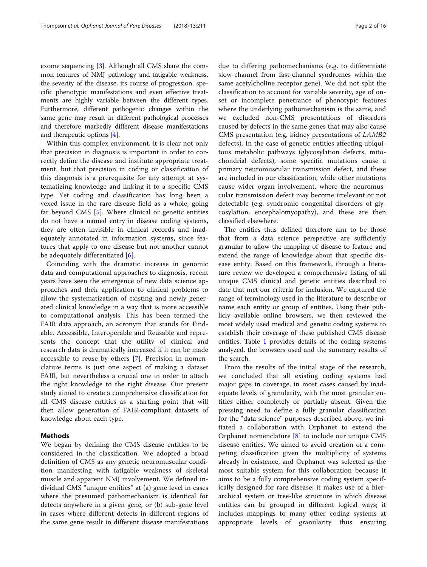exome sequencing [[3\]](#page-15-0). Although all CMS share the common features of NMJ pathology and fatigable weakness, the severity of the disease, its course of progression, specific phenotypic manifestations and even effective treatments are highly variable between the different types. Furthermore, different pathogenic changes within the same gene may result in different pathological processes and therefore markedly different disease manifestations and therapeutic options [\[4](#page-15-0)].

Within this complex environment, it is clear not only that precision in diagnosis is important in order to correctly define the disease and institute appropriate treatment, but that precision in coding or classification of this diagnosis is a prerequisite for any attempt at systematizing knowledge and linking it to a specific CMS type. Yet coding and classification has long been a vexed issue in the rare disease field as a whole, going far beyond CMS [[5](#page-15-0)]. Where clinical or genetic entities do not have a named entry in disease coding systems, they are often invisible in clinical records and inadequately annotated in information systems, since features that apply to one disease but not another cannot be adequately differentiated [\[6](#page-15-0)].

Coinciding with the dramatic increase in genomic data and computational approaches to diagnosis, recent years have seen the emergence of new data science approaches and their application to clinical problems to allow the systematization of existing and newly generated clinical knowledge in a way that is more accessible to computational analysis. This has been termed the FAIR data approach, an acronym that stands for Findable, Accessible, Interoperable and Reusable and represents the concept that the utility of clinical and research data is dramatically increased if it can be made accessible to reuse by others [\[7](#page-15-0)]. Precision in nomenclature terms is just one aspect of making a dataset FAIR, but nevertheless a crucial one in order to attach the right knowledge to the right disease. Our present study aimed to create a comprehensive classification for all CMS disease entities as a starting point that will then allow generation of FAIR-compliant datasets of knowledge about each type.

### Methods

We began by defining the CMS disease entities to be considered in the classification. We adopted a broad definition of CMS as any genetic neuromuscular condition manifesting with fatigable weakness of skeletal muscle and apparent NMJ involvement. We defined individual CMS "unique entities" at (a) gene level in cases where the presumed pathomechanism is identical for defects anywhere in a given gene, or (b) sub-gene level in cases where different defects in different regions of the same gene result in different disease manifestations due to differing pathomechanisms (e.g. to differentiate slow-channel from fast-channel syndromes within the same acetylcholine receptor gene). We did not split the classification to account for variable severity, age of onset or incomplete penetrance of phenotypic features where the underlying pathomechanism is the same, and we excluded non-CMS presentations of disorders caused by defects in the same genes that may also cause CMS presentation (e.g. kidney presentations of LAMB2 defects). In the case of genetic entities affecting ubiquitous metabolic pathways (glycosylation defects, mitochondrial defects), some specific mutations cause a primary neuromuscular transmission defect, and these are included in our classification, while other mutations cause wider organ involvement, where the neuromuscular transmission defect may become irrelevant or not detectable (e.g. syndromic congenital disorders of glycosylation, encephalomyopathy), and these are then classified elsewhere.

The entities thus defined therefore aim to be those that from a data science perspective are sufficiently granular to allow the mapping of disease to feature and extend the range of knowledge about that specific disease entity. Based on this framework, through a literature review we developed a comprehensive listing of all unique CMS clinical and genetic entities described to date that met our criteria for inclusion. We captured the range of terminology used in the literature to describe or name each entity or group of entities. Using their publicly available online browsers, we then reviewed the most widely used medical and genetic coding systems to establish their coverage of these published CMS disease entities. Table [1](#page-2-0) provides details of the coding systems analyzed, the browsers used and the summary results of the search.

From the results of the initial stage of the research, we concluded that all existing coding systems had major gaps in coverage, in most cases caused by inadequate levels of granularity, with the most granular entities either completely or partially absent. Given the pressing need to define a fully granular classification for the "data science" purposes described above, we initiated a collaboration with Orphanet to extend the Orphanet nomenclature [[8\]](#page-15-0) to include our unique CMS disease entities. We aimed to avoid creation of a competing classification given the multiplicity of systems already in existence, and Orphanet was selected as the most suitable system for this collaboration because it aims to be a fully comprehensive coding system specifically designed for rare disease; it makes use of a hierarchical system or tree-like structure in which disease entities can be grouped in different logical ways; it includes mappings to many other coding systems at appropriate levels of granularity thus ensuring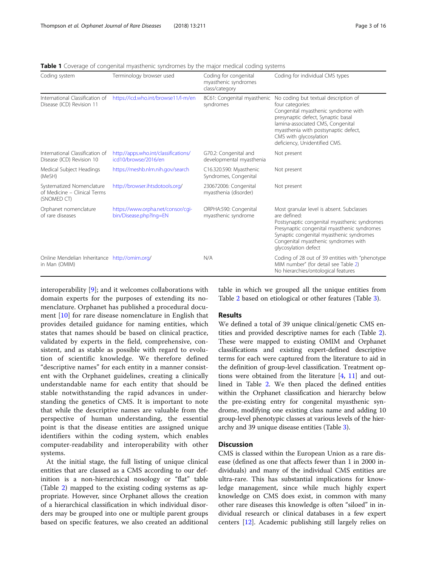| Page 3 of 16 |  |  |
|--------------|--|--|
|              |  |  |

| Coding system                                                            | Terminology browser used                                     | Coding for congenital<br>myasthenic syndromes<br>class/category | Coding for individual CMS types                                                                                                                                                                                                                                               |
|--------------------------------------------------------------------------|--------------------------------------------------------------|-----------------------------------------------------------------|-------------------------------------------------------------------------------------------------------------------------------------------------------------------------------------------------------------------------------------------------------------------------------|
| International Classification of<br>Disease (ICD) Revision 11             | https://icd.who.int/browse11/l-m/en                          | 8C61: Congenital myasthenic<br>syndromes                        | No coding but textual description of<br>four categories:<br>Congenital myasthenic syndrome with<br>presynaptic defect, Synaptic basal<br>lamina-associated CMS, Congenital<br>myasthenia with postsynaptic defect,<br>CMS with glycosylation<br>deficiency, Unidentified CMS. |
| International Classification of<br>Disease (ICD) Revision 10             | http://apps.who.int/classifications/<br>icd10/browse/2016/en | G70.2: Congenital and<br>developmental myasthenia               | Not present                                                                                                                                                                                                                                                                   |
| Medical Subject Headings<br>(MeSH)                                       | https://meshb.nlm.nih.gov/search                             | C16.320.590: Myasthenic<br>Syndromes, Congenital                | Not present                                                                                                                                                                                                                                                                   |
| Systematized Nomenclature<br>of Medicine - Clinical Terms<br>(SNOMED CT) | http://browser.ihtsdotools.org/                              | 230672006: Congenital<br>myasthenia (disorder)                  | Not present                                                                                                                                                                                                                                                                   |
| Orphanet nomenclature<br>of rare diseases                                | https://www.orpha.net/consor/cqi-<br>bin/Disease.php?Ing=EN  | ORPHA:590: Congenital<br>myasthenic syndrome                    | Most granular level is absent. Subclasses<br>are defined:<br>Postsynaptic congenital myasthenic syndromes<br>Presynaptic congenital myasthenic syndromes<br>Synaptic congenital myasthenic syndromes<br>Congenital myasthenic syndromes with<br>glycosylation defect          |
| Online Mendelian Inheritance http://omim.org/<br>in Man (OMIM)           |                                                              | N/A                                                             | Coding of 28 out of 39 entities with "phenotype<br>MIM number" (for detail see Table 2)<br>No hierarchies/ontological features                                                                                                                                                |

<span id="page-2-0"></span>Table 1 Coverage of congenital myasthenic syndromes by the major medical coding systems

interoperability [[9\]](#page-15-0); and it welcomes collaborations with domain experts for the purposes of extending its nomenclature. Orphanet has published a procedural document [[10\]](#page-15-0) for rare disease nomenclature in English that provides detailed guidance for naming entities, which states that names should be based on clinical practice, validated by experts in the field, comprehensive, consistent, and as stable as possible with regard to evolution of scientific knowledge. We therefore defined "descriptive names" for each entity in a manner consistent with the Orphanet guidelines, creating a clinically understandable name for each entity that should be stable notwithstanding the rapid advances in understanding the genetics of CMS. It is important to note that while the descriptive names are valuable from the perspective of human understanding, the essential point is that the disease entities are assigned unique identifiers within the coding system, which enables computer-readability and interoperability with other systems.

At the initial stage, the full listing of unique clinical entities that are classed as a CMS according to our definition is a non-hierarchical nosology or "flat" table (Table [2\)](#page-3-0) mapped to the existing coding systems as appropriate. However, since Orphanet allows the creation of a hierarchical classification in which individual disorders may be grouped into one or multiple parent groups based on specific features, we also created an additional table in which we grouped all the unique entities from Table [2](#page-3-0) based on etiological or other features (Table [3\)](#page-9-0).

#### Results

We defined a total of 39 unique clinical/genetic CMS entities and provided descriptive names for each (Table [2](#page-3-0)). These were mapped to existing OMIM and Orphanet classifications and existing expert-defined descriptive terms for each were captured from the literature to aid in the definition of group-level classification. Treatment options were obtained from the literature  $[4, 11]$  $[4, 11]$  $[4, 11]$  $[4, 11]$  and outlined in Table [2](#page-3-0). We then placed the defined entities within the Orphanet classification and hierarchy below the pre-existing entry for congenital myasthenic syndrome, modifying one existing class name and adding 10 group-level phenotypic classes at various levels of the hierarchy and 39 unique disease entities (Table [3](#page-9-0)).

# **Discussion**

CMS is classed within the European Union as a rare disease (defined as one that affects fewer than 1 in 2000 individuals) and many of the individual CMS entities are ultra-rare. This has substantial implications for knowledge management, since while much highly expert knowledge on CMS does exist, in common with many other rare diseases this knowledge is often "siloed" in individual research or clinical databases in a few expert centers [\[12](#page-15-0)]. Academic publishing still largely relies on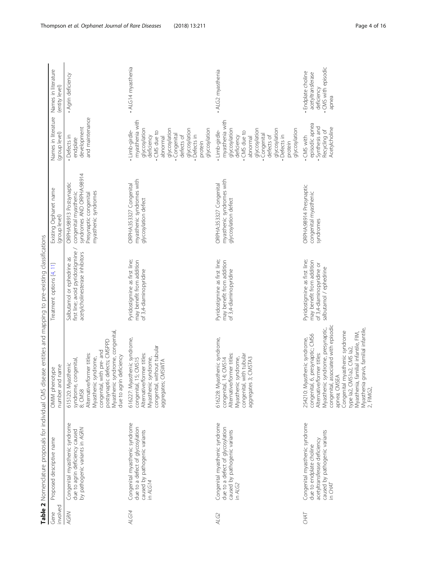<span id="page-3-0"></span>

|                  | Table 2 Nomenclature proposals for individual CMS disease entities and mapping to pre-existing classifications                        |                                                                                                                                                                                                                                                                                                                                                                       |                                                                                                                   |                                                                                                                                  |                                                                                                                                                                                                        |                                                                                     |
|------------------|---------------------------------------------------------------------------------------------------------------------------------------|-----------------------------------------------------------------------------------------------------------------------------------------------------------------------------------------------------------------------------------------------------------------------------------------------------------------------------------------------------------------------|-------------------------------------------------------------------------------------------------------------------|----------------------------------------------------------------------------------------------------------------------------------|--------------------------------------------------------------------------------------------------------------------------------------------------------------------------------------------------------|-------------------------------------------------------------------------------------|
| involved<br>Gene | Proposed descriptive name                                                                                                             | number and name<br>OMIM phenotype                                                                                                                                                                                                                                                                                                                                     | Treatment options [4, 11]                                                                                         | Existing Orphanet name<br>(group level)                                                                                          | Names in literature<br>(group level)                                                                                                                                                                   | Names in literature<br>(entity level)                                               |
| AGRN             | Congenital myasthenic syndrome<br>by pathogenic variants in AGRN<br>due to agrin deficiency caused                                    | Myasthenic syndrome, congenital,<br>postsynaptic defects; CMSPPD<br>with pre- and<br>Alternative/former titles:<br>due to agrin deficiency<br>Myasthenic syndrome,<br>syndrome, congenital,<br>615120: Myasthenic<br>congenital,<br>8; CMS8                                                                                                                           | first line; avoid pyridostigmine<br>acetylcholinesterase inhibitors<br>Salbutamol or ephedrine as                 | syndromes AND ORPHA:98914<br>ORPHA:98913 Postsynaptic<br>myasthenic syndromes<br>congenital myasthenic<br>Presynaptic congenital | and maintenance<br>development<br>· Defects in<br>endplate                                                                                                                                             | . Agrin deficiency                                                                  |
| ALG14            | Congenital myasthenic syndrome<br>due to a defect of glycosylation<br>caused by pathogenic variants<br>in ALG14                       | 616227: Myasthenic syndrome,<br>without tubular<br>Alternative/former titles:<br>15; CMS15<br>syndrome,<br>CMSWTA<br>aggregates;<br>Myasthenic<br>congenital,<br>congenital,                                                                                                                                                                                          | Pyridostigmine as first line;<br>may benefit from addition<br>of 3,4-diaminopyridine                              | myasthenic syndromes with<br>ORPHA:353327 Congenital<br>glycosylation defect                                                     | myasthenia with<br>glycosylation<br>glycosylation<br>glycosylation<br>glycosylation<br>Limb-girdle-<br>. CMS due to<br>. Congenital<br>. Defects in<br>deficiency<br>defects of<br>abnormal<br>protein | ALG14 myasthenia                                                                    |
| ALG2             | Congenital myasthenic syndrome<br>due to a defect of glycosylation<br>caused by pathogenic variants<br>in ALG2                        | 616228: Myasthenic syndrome,<br>Alternative/former titles:<br>with tubular<br>3; CMSTA3<br>syndrome,<br>14; CMS14<br>Myasthenic<br>congenital,<br>aggregates<br>congenital,                                                                                                                                                                                           | Pyridostigmine as first line;<br>may benefit from addition<br>of 3,4-diaminopyridine                              | myasthenic syndromes with<br>ORPHA:353327 Congenital<br>glycosylation defect                                                     | myasthenia with<br>glycosylation<br>glycosylation<br>glycosylation<br>glycosylation<br>. CMS due to<br>·Limb-girdle-<br>Congenital<br>Defects in<br>deficiency<br>defects of<br>abnormal<br>protein    | . ALG2 myasthenia                                                                   |
| CHAT             | Congenital myasthenic syndrome<br>caused by pathogenic variants<br>acetyltransferase deficiency<br>due to endplate choline<br>in CHAT | associated with episodi<br>gravis, familial infantile,<br>syndrome, presynaptic,<br>Congenital myasthenic syndrome<br>Myasthenia, familial infantile, FIM,<br>6, presynaptic; CMS6<br>254210: Myasthenic syndrome,<br>type la2, CMS1a2, CMS la2,<br>Alternative/former titles:<br>apnea; CMSEA<br>Myasthenic<br>congenital,<br>Myasthenia<br>congenital,<br>2, FIMG2, | Pyridostigmine as first line;<br>may benefit from addition<br>of 3,4-diaminopyridine or<br>salbutamol / ephedrine | ORPHA:98914 Presynaptic<br>congenital myasthenic<br>syndromes                                                                    | episodic apnea<br>Synthesis and<br>Acetylcholine<br>Recycling of<br>CMS with                                                                                                                           | . CMS with episodic<br>Endplate choline<br>acetyltransferase<br>deficiency<br>apnea |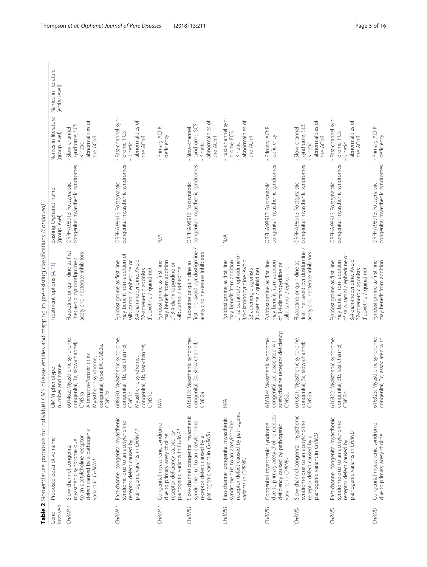|                    | Table 2 Nomenclature proposals for individual CMS disease entities and mapping to pre-existing classifications (Continued)               |                                                                                                                                                                                            |                                                                                                                                                                                       |                                                             |                                                                                |                                       |
|--------------------|------------------------------------------------------------------------------------------------------------------------------------------|--------------------------------------------------------------------------------------------------------------------------------------------------------------------------------------------|---------------------------------------------------------------------------------------------------------------------------------------------------------------------------------------|-------------------------------------------------------------|--------------------------------------------------------------------------------|---------------------------------------|
| involved<br>Gene   | Proposed descriptive name                                                                                                                | number and name<br>OMIM phenotype                                                                                                                                                          | Treatment options [4, 11]                                                                                                                                                             | Existing Orphanet name<br>(group level)                     | Names in literature<br>(group level)                                           | Names in literature<br>(entity level) |
| CHRNA1             | defect caused by a pathogenic<br>to an acetylcholine receptor<br>myasthenic syndrome due<br>Slow-channel congenital<br>variant in CHRNA1 | 601462: Myasthenic syndrome,<br>1a, slow-channel;<br>type IIA, CMS2a,<br>Alternative/former titles:<br>syndrome,<br>congenital,<br>Myasthenic<br>congenital,<br>CMS <sub>2a</sub><br>CMS1a | Fluoxetine or quinidine as first<br>acetylcholinesterase inhibitors<br>line; avoid pyridostigmine /                                                                                   | congenital myasthenic syndromes<br>ORPHA:98913 Postsynaptic | abnormalities of<br>syndrome, SCS<br>Slow-channel<br>the AChR<br>· Kinetic     |                                       |
| CHRNA1             | Fast-channel congenital myasthenic<br>syndrome due to an acetylcholine<br>pathogenic variants in CHRNA1<br>receptor defect caused by     | 608930: Myasthenic syndrome,<br>1b, fast-channel;<br>1b, fast-channel;<br>syndrome,<br>congenital,<br>Myasthenic<br>congenital,<br>CMS1b<br>CMS1b                                          | may benefit from addition of<br>Pyridostigmine as first line;<br>3,4-diaminopyridine. Avoid<br>salbutamol / ephedrine or<br><b>B2-adrenergic</b> agonists<br>(fluoxetine / quinidine) | congenital myasthenic syndromes<br>ORPHA:98913 Postsynaptic | Fast-channel syn-<br>abnormalities of<br>drome, FCS<br>the AChR<br>· Kinetic   |                                       |
| CHRNA1             | Congenital myasthenic syndrome<br>pathogenic variants in CHRNA1<br>receptor deficiency caused by<br>due to primary acetylcholine         | $\stackrel{\triangle}{\geq}$                                                                                                                                                               | Pyridostigmine as first line;<br>may benefit from addition<br>of 3,4-diaminopyridine or<br>salbutamol / ephedrine                                                                     | $\stackrel{\triangleleft}{\geq}$                            | · Primary AChR<br>deficiency                                                   |                                       |
| CHRNB <sub>1</sub> | Slow-channel congenital myasthenic<br>syndrome due to an acetylcholine<br>pathogenic variant in CHRNB1<br>receptor defect caused by a    | 616313: Myasthenic syndrome,<br>2a, slow-channel;<br>congenital,<br>CMS <sub>2a</sub>                                                                                                      | first line; avoid pyridostigmine<br>acetylcholinesterase inhibitors<br>Fluoxetine or quinidine as                                                                                     | congenital myasthenic syndromes<br>ORPHA:98913 Postsynaptic | abnormalities of<br>syndrome, SCS<br>· Slow-channel<br>the AChR<br>· Kinetic   |                                       |
| CHRNB1             | receptor defect caused by pathogenic<br>Fast-channel congenital myasthenic<br>syndrome due to an acetylcholine<br>variants in CHRNB1     | $\lessapprox$                                                                                                                                                                              | of salbutamol / ephedrine or<br>Pyridostigmine as first line;<br>may benefit from addition<br>3,4-diaminopyridine. Avoid<br><b>β2-adrenergic agonists</b><br>(fluoxetine / quinidine) | ∕<<br>N                                                     | · Fast-channel syn-<br>abnormalities of<br>drome, FCS<br>the AChR<br>· Kinetic |                                       |
| CHRNB <sub>1</sub> | due to primary acetylcholine receptor<br>Congenital myasthenic syndrome<br>deficiency caused by pathogenic<br>variants in CHRNB1         | receptor deficiency;<br>616314: Myasthenic syndrome,<br>2c, associated with<br>acetylcholir<br>congenital,<br>CMS <sub>2c</sub>                                                            | Pyridostigmine as first line;<br>may benefit from addition<br>of 3,4-diaminopyridine or<br>salbutamol / ephedrine                                                                     | congenital myasthenic syndromes<br>ORPHA:98913 Postsynaptic | · Primary AChR<br>deficiency                                                   |                                       |
| CHRND              | Slow-channel congenital myasthenic<br>syndrome due to an acetylcholine<br>pathogenic variant in CHRND<br>receptor defect caused by a     | 616321: Myasthenic syndrome,<br>3a, slow-channel;<br>congenital,<br>CMS3a                                                                                                                  | first line; avoid pyridostigmine /<br>acetylcholinesterase inhibitors<br>Fluoxetine or quinidine as                                                                                   | congenital myasthenic syndromes<br>ORPHA:98913 Postsynaptic | abnormalities of<br>syndrome, SCS<br>· Slow-channel<br>the AChR<br>· Kinetic   |                                       |
| CHRND              | Fast-channel congenital myasthenic<br>syndrome due to an acetylcholine<br>pathogenic variants in CHRND<br>receptor defect caused by      | 616322: Myasthenic syndrome,<br>3b, fast-channel;<br>congenital,<br>CMS3b                                                                                                                  | of salbutamol / ephedrine or<br>Pyridostigmine as first line;<br>may benefit from addition<br>3,4-diaminopyridine. Avoid<br><b>B2-adrenergic</b> agonists<br>(fluoxetine / quinidine) | congenital myasthenic syndromes<br>ORPHA:98913 Postsynaptic | · Fast-channel syn-<br>abnormalities of<br>drome, FCS<br>the AChR<br>· Kinetic |                                       |
| CHRND              | Congenital myasthenic syndrome<br>due to primary acetylcholine                                                                           | 616323: Myasthenic syndrome,<br>congenital, 3c, associated with                                                                                                                            | Pyridostigmine as first line;<br>may benefit from addition                                                                                                                            | congenital myasthenic syndromes<br>ORPHA:98913 Postsynaptic | - Primary AChR<br>deficiency                                                   |                                       |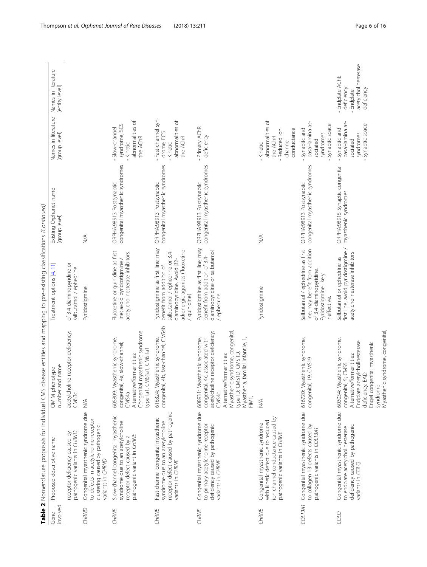|                  | DSCIP CIANT LED AND IN THE STATE OF ARROW ON DIRECT DIRECT DIRECT V                                                                       | sase brind and a china china assess                                                                                                                                                                                                                         | con Dinusia                                                                                                                                                                                 | из тол китаед                                               |                                                                                      |                                                                               |
|------------------|-------------------------------------------------------------------------------------------------------------------------------------------|-------------------------------------------------------------------------------------------------------------------------------------------------------------------------------------------------------------------------------------------------------------|---------------------------------------------------------------------------------------------------------------------------------------------------------------------------------------------|-------------------------------------------------------------|--------------------------------------------------------------------------------------|-------------------------------------------------------------------------------|
| involved<br>Gene | Proposed descriptive name                                                                                                                 | name<br>OMIM phenotype<br>number and                                                                                                                                                                                                                        | Treatment options [4, 11]                                                                                                                                                                   | Existing Orphanet name<br>(group level)                     | Names in literature<br>(group level)                                                 | Names in literature<br>(entity level)                                         |
|                  | receptor deficiency caused by<br>pathogenic variants in CHRND                                                                             | receptor deficiency;<br>acetylcholine<br>CMSc                                                                                                                                                                                                               | of 3,4-diaminopyridine or<br>salbutamol / ephedrine                                                                                                                                         |                                                             |                                                                                      |                                                                               |
| CHRND            | Congenital myasthenic syndrome due<br>to defects in acetylcholine receptor<br>clustering caused by pathogenic<br>variants in CHRND        | $\stackrel{\triangleleft}{\geq}$                                                                                                                                                                                                                            | Pyridostigmine                                                                                                                                                                              | $\stackrel{\triangleleft}{\geq}$                            |                                                                                      |                                                                               |
| CHRNE            | Slow-channel congenital myasthenic<br>syndrome due to an acetylcholine<br>receptor defect caused by a<br>pathogenic variant in CHRNE      | Congenital myasthenic syndrome<br>605809: Myasthenic syndrome,<br>congenital, 4a, slow-channel;<br>type la1, CMS1a1, CMS la1<br>Alternative/former titles:<br>CMS4a                                                                                         | Fluoxetine or quinidine as first<br>acetylcholinesterase inhibitors<br>line; avoid pyridostigmine /                                                                                         | congenital myasthenic syndromes<br>ORPHA:98913 Postsynaptic | abnormalities of<br>syndrome, SCS<br>· Slow-channel<br>the AChR<br>· Kinetic         |                                                                               |
| CHRNE            | receptor defect caused by pathogenic<br>Fast-channel congenital myasthenic<br>syndrome due to an acetylcholine<br>variants in CHRNE       | congenital, 4b, fast-channel; CMS4b<br>616324: Myasthenic syndrome,                                                                                                                                                                                         | Pyridostigmine as first line; may<br>adrenergic agonists (fluoxetine<br>salbutamol / ephedrine or 3,4-<br>diaminopyridine. Avoid <sub>[2-</sub><br>benefit from addition of<br>/ quinidine) | congenital myasthenic syndromes<br>ORPHA:98913 Postsynaptic | ·Fast-channel syn-<br>abnormalities of<br>drome, FCS<br>the AChR<br>· Kinetic        |                                                                               |
| CHRNE            | Congenital myasthenic syndrome due<br>to primary acetylcholine receptor<br>deficiency caused by pathogenic<br>variants in CHRNE           | Myasthenic syndrome, congenital<br>acetylcholine receptor deficiency;<br>Myasthenia, familial infantile, 1,<br>congenital, 4c, associated with<br>608931: Myasthenic syndrome,<br>type ID; CMS1D, CMS ID,<br>Alternative/former titles:<br>CMS4c<br>$FIM$ , | Pyridostigmine as first line; may<br>diaminopyridine or salbutamol<br>benefit from addition of 3,4-<br>ephedrine                                                                            | congenital myasthenic syndromes<br>ORPHA:98913 Postsynaptic | . Primary AChR<br>deficiency                                                         |                                                                               |
| CHRNE            | ion channel conductance caused by<br>with kinetic defect due to reduced<br>Congenital myasthenic syndrome<br>pathogenic variants in CHRNE | $\stackrel{\triangle}{\geq}$                                                                                                                                                                                                                                | Pyridostigmine                                                                                                                                                                              | $\lessgtr$                                                  | abnormalities of<br>conductance<br>- Reduced ion<br>the AChR<br>channel<br>· Kinetic |                                                                               |
|                  | COL13A1 Congenital myasthenic syndrome due<br>to collagen 13 defects caused by<br>pathogenic variants in COL13A1                          | 616720: Myasthenic syndrome,<br>congenital, 19; CMS19                                                                                                                                                                                                       | line; may benefit from addition<br>Salbutamol / ephedrine as first<br>of 3,4-diaminopyridine.<br>Pyridostigmine likely<br>ineffective.                                                      | congenital myasthenic syndromes<br>ORPHA:98913 Postsynaptic | basal-lamina as-<br>Synaptic space<br>Synaptic and<br>syndromes<br>sociated          |                                                                               |
| COLO             | Congenital myasthenic syndrome due<br>deficiency caused by pathogenic<br>to endplate acetylcholinesterase<br>variants in COLQ             | Myasthenic syndrome, congenital,<br>603034: Myasthenic syndrome,<br>Endplate acetylcholinesterase<br>Engel congenital myasthenic<br>Alternative/former titles:<br>congenital, 5; CMS5<br>deficiency; EAD<br>syndrome                                        | first line; avoid pyridostigmine<br>acetylcholinesterase inhibitors<br>Salbutamol or ephedrine as                                                                                           | ORPHA:98915 Synaptic congenital<br>myasthenic syndromes     | basal-lamina as-<br>· Synaptic space<br>· Synaptic and<br>syndromes<br>sociated      | acetylcholinesterase<br>Endplate AChE<br>deficiency<br>deficiency<br>Endplate |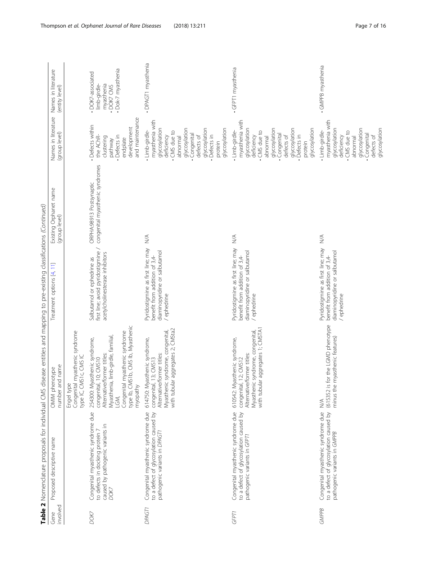|                   | Table 2 Nomenclature proposals for individual CMS disease entities and mapping to pre-existing classifications (Continued) |                                                                                                                                                                                                                          |                                                                                                                    |                                                             |                                                                                                                                                                                                         |                                                                                     |
|-------------------|----------------------------------------------------------------------------------------------------------------------------|--------------------------------------------------------------------------------------------------------------------------------------------------------------------------------------------------------------------------|--------------------------------------------------------------------------------------------------------------------|-------------------------------------------------------------|---------------------------------------------------------------------------------------------------------------------------------------------------------------------------------------------------------|-------------------------------------------------------------------------------------|
| involved<br>Gene  | Proposed descriptive name                                                                                                  | number and name<br>OMIM phenotype                                                                                                                                                                                        | $\equiv$<br>Treatment options [4,                                                                                  | Existing Orphanet name<br>(group level)                     | Names in literature<br>(group level)                                                                                                                                                                    | Names in literature<br>(entity level)                                               |
|                   |                                                                                                                            | Congenital myasthenic syndrome<br>type IC, CMS1c, CMS IC<br>Engel type                                                                                                                                                   |                                                                                                                    |                                                             |                                                                                                                                                                                                         |                                                                                     |
| <b>DOK7</b>       | Congenital myasthenic syndrome due<br>caused by pathogenic variants in<br>to defects in docking protein 7<br>DOK7          | b, CMS Ib, Myasthenic<br>Congenital myasthenic syndrome<br>Myasthenia, limb-girdle, familial<br>254300: Myasthenic syndrome,<br>Alternative/former titles:<br>congenital, 10; CMS10<br>type lb, CMS1<br>myopathy<br>LGM, | first line; avoid pyridostigmine /<br>acetylcholinesterase inhibitors<br>Salbutamol or ephedrine as                | congenital myasthenic syndromes<br>ORPHA:98913 Postsynaptic | and maintenance<br>· Defects within<br>development<br>the AChR-<br>· Defects in<br>clustering<br>endplate<br>pathway                                                                                    | · Dok-7 myasthenia<br>· DOK7-associated<br>limb-girdle-<br>myasthenia<br>- DOK7 CMS |
| DPAGT1            | Congenital myasthenic syndrome due<br>to a defect of glycosylation caused by<br>pathogenic variants in DPAGT1              | with tubular aggregates 2; CMSta2<br>Myasthenic syndrome, congenital,<br>614750: Myasthenic syndrome,<br>Alternative/former titles:<br>congenital, 13; CMS13                                                             | Pyridostigmine as first line; may<br>diaminopyridine or salbutamol<br>benefit from addition of 3,4-<br>ephedrine   | $\lessgtr$                                                  | myasthenia with<br>glycosylation<br>qlycosylation<br>glycosylation<br>glycosylation<br>· Limb-girdle-<br>. CMS due to<br>Congenital<br>deficiency<br>· Defects in<br>defects of<br>abnormal<br>protein  | · DPAGT1 myasthenia                                                                 |
| GFPT <sub>1</sub> | Congenital myasthenic syndrome due<br>to a defect of glycosylation caused by<br>pathogenic variants in GFPT1               | with tubular aggregates 1; CMSTA1<br>Myasthenic syndrome, congenital,<br>610542: Myasthenic syndrome,<br>Alternative/former titles:<br>congenital, 12; CMS12                                                             | Pyridostigmine as first line; may<br>diaminopyridine or salbutamol<br>benefit from addition of 3,4-<br>/ ephedrine | $\leq$                                                      | myasthenia with<br>qlycosylation<br>glycosylation<br>glycosylation<br>glycosylation<br>·Limb-girdle-<br>. CMS due to<br>. Congenital<br>· Defects in<br>deficiency<br>defects of<br>abnormal<br>protein | GFPT1 myasthenia                                                                    |
| GMPPB             | Congenital myasthenic syndrome due<br>to a defect of glycosylation caused by<br>pathogenic variants in GMPPB               | the LGMD phenotype<br>minus the myasthenic features)<br>(615352 is for<br>$\leq$                                                                                                                                         | Pyridostigmine as first line; may<br>diaminopyridine or salbutamol<br>benefit from addition of 3,4-<br>/ ephedrine | ⋚                                                           | myasthenia with<br>glycosylation<br>glycosylation<br>glycosylation<br>- Limb-girdle-<br>. CMS due to<br>. Congenital<br>deficiency<br>defects of<br>abnormal                                            | GMPPB myasthenia                                                                    |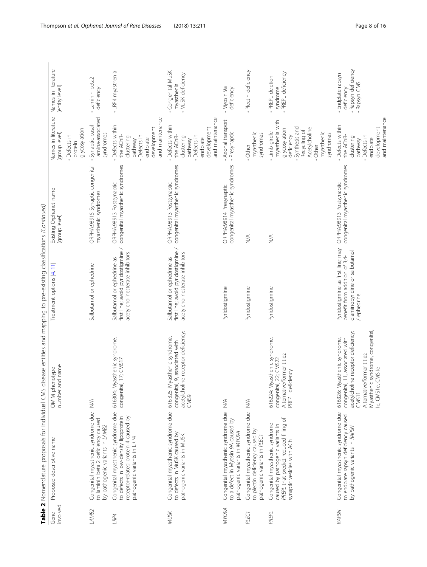|                   | Table 2 Nomenclature proposals for individual CMS disease entities and mapping to pre-existing classifications (Continued)                         |                                                                                                                                                                                                         |                                                                                                                    |                                                             |                                                                                                                                                          |                                                                  |
|-------------------|----------------------------------------------------------------------------------------------------------------------------------------------------|---------------------------------------------------------------------------------------------------------------------------------------------------------------------------------------------------------|--------------------------------------------------------------------------------------------------------------------|-------------------------------------------------------------|----------------------------------------------------------------------------------------------------------------------------------------------------------|------------------------------------------------------------------|
| involved<br>Gene  | Proposed descriptive name                                                                                                                          | number and name<br>OMIM phenotype                                                                                                                                                                       | Treatment options [4, 11]                                                                                          | Existing Orphanet name<br>(group level)                     | Names in literature<br>(group level)                                                                                                                     | Names in literature<br>(entity level)                            |
|                   |                                                                                                                                                    |                                                                                                                                                                                                         |                                                                                                                    |                                                             | glycosylation<br>Defects in<br>protein                                                                                                                   |                                                                  |
| LAMB <sub>2</sub> | Congenital myasthenic syndrome due<br>to laminin beta 2 deficiency caused<br>by pathogenic variants in LAMB2                                       | $\stackrel{\triangle}{\geq}$                                                                                                                                                                            | Salbutamol or ephedrine                                                                                            | ORPHA:98915 Synaptic congenital<br>myasthenic syndromes     | lamina-associated<br>· Synaptic basal<br>syndromes                                                                                                       | Laminin beta2<br>deficiency                                      |
| LRP4              | Congenital myasthenic syndrome due<br>to defects in low-density lipoprotein<br>receptor-related protein 4 caused by<br>pathogenic variants in LRP4 | 616304: Myasthenic syndrome,<br>$, 17;$ CMS17<br>congenital                                                                                                                                             | first line; avoid pyridostigmine<br>acetylcholinesterase inhibitors<br>Salbutamol or ephedrine as                  | congenital myasthenic syndromes<br>ORPHA:98913 Postsynaptic | and maintenance<br>· Defects within<br>development<br>the AChR-<br>· Defects in<br>clustering<br>endplate<br>pathway                                     | • LRP4 myasthenia                                                |
| MUSK              | Congenital myasthenic syndrome due<br>to defects in MuSK caused by<br>pathogenic variants in MUSK                                                  | acetylcholine receptor deficiency;<br>616,325: Myasthenic syndrome,<br>, 9, associated with<br>congenital<br>CM <sub>59</sub>                                                                           | first line; avoid pyridostigmine<br>acetylcholinesterase inhibitors<br>Salbutamol or ephedrine as                  | congenital myasthenic syndromes<br>ORPHA:98913 Postsynaptic | and maintenance<br>· Defects within<br>development<br>the AChR-<br>· Defects in<br>clustering<br>endplate<br>pathway                                     | Congenital MuSK<br>· MuSK deficiency<br>myasthenia               |
| <b>MYO9A</b>      | Congenital myasthenic syndrome due<br>to a defect in Myosin 9A caused by<br>pathogenic variants in MYO9A                                           | $\stackrel{<}{\geq}$                                                                                                                                                                                    | Pyridostigmine                                                                                                     | congenital myasthenic syndromes<br>ORPHA:98914 Presynaptic  | • Axonal transport<br>· Presynaptic                                                                                                                      | . Myosin 9a<br>deficiency                                        |
| PLEC1             | Congenital myasthenic syndrome due<br>to plectin deficiency caused by<br>pathogenic variants in PLEC1                                              | $\stackrel{\triangle}{\geq}$                                                                                                                                                                            | Pyridostigmine                                                                                                     | $\lessgtr$                                                  | myasthenic<br>syndromes<br>. Other                                                                                                                       | Plectin deficiency                                               |
| PREPL             | PREPL that predict reduced filling of<br>Congenital myasthenic syndrome<br>caused by pathogenic variants in<br>synaptic vesicles with ACh          | 616224: Myasthenic syndrome,<br>Alternative/former titles:<br>congenital, 22; CMS22<br>PREPL deficiency                                                                                                 | Pyridostigmine                                                                                                     | $\stackrel{\triangleleft}{\geq}$                            | myasthenia with<br>Synthesis and<br>Acetylcholine<br>glycosylation<br>Recycling of<br>- Limb-girdle-<br>myasthenic<br>syndromes<br>deficiency<br>. Other | PREPL deficiency<br>. PREPL deletion<br>syndrome                 |
| RAPSN             | Congenital myasthenic syndrome due<br>to endplate rapsyn deficiency caused<br>by pathogenic variants in RAPSN                                      | Myasthenic syndrome, congenital<br>acetylcholine receptor deficiency;<br>616326: Myasthenic syndrome,<br>congenital, 11, associated with<br>Alternative/former titles:<br>CMS le<br>le, CMS1e,<br>CMS11 | Pyridostigmine as first line; may<br>diaminopyridine or salbutamol<br>benefit from addition of 3,4-<br>/ ephedrine | congenital myasthenic syndromes<br>ORPHA:98913 Postsynaptic | and maintenance<br>Defects within<br>development<br>the AChR-<br>· Defects in<br>clustering<br>endplate<br>pathway                                       | Rapsyn deficiency<br>Endplate rapsyn<br>Rapsyn CMS<br>deficiency |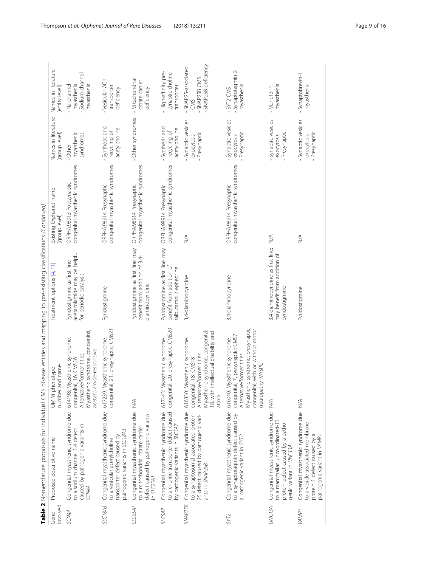| involved<br>Gene    | Proposed descriptive name                                                                                                                 | nd name<br>OMIM phenotype<br>number ar                                                                                                                                                        | Treatment options [4, 11]                                                               | Existing Orphanet name<br>(group level)                     | Names in literature<br>(group level)               | Names in literature<br>(entity level)                         |
|---------------------|-------------------------------------------------------------------------------------------------------------------------------------------|-----------------------------------------------------------------------------------------------------------------------------------------------------------------------------------------------|-----------------------------------------------------------------------------------------|-------------------------------------------------------------|----------------------------------------------------|---------------------------------------------------------------|
| <b>SCN4A</b>        | Congenital myasthenic syndrome due<br>caused by pathogenic variants in<br>to a sodium channel 1.4 defect<br><b>SCN4A</b>                  | Myasthenic syndrome, congenital<br>614198: Myasthenic syndrome,<br>acetazolamide-responsive<br>Alternative/former titles:<br>congenital, 16; CMS16                                            | acetazolamide may be helpful<br>Pyridostigmine as first line;<br>for periodic paralysis | congenital myasthenic syndromes<br>ORPHA:98913 Postsynaptic | myasthenic<br>syndromes<br>Other                   | Sodium channel<br>myasthenia<br>myasthenia<br>Na channel      |
| SLC18A3             | Congenital myasthenic syndrome due<br>pathogenic variants in SLC18A3<br>transporter defect caused by<br>to a vesicular acetylcholine      | congenital, 21, presynaptic; CMS2<br>617239: Myasthenic syndrome,                                                                                                                             | Pyridostigmine                                                                          | congenital myasthenic syndromes<br>ORPHA:98914 Presynaptic  | · Synthesis and<br>acetylcholine<br>recycling of   | · Vesicular ACh<br>transporter<br>deficiency                  |
| SLC25A1             | Congenital myasthenic syndrome due N/A<br>defect caused by pathogenic variants<br>to a mitochondrial citrate carrier<br>in SLC25A1        |                                                                                                                                                                                               | Pyridostigmine as first line; may<br>benefit from addition of 3,4-<br>diaminopyridine   | congenital myasthenic syndromes<br>ORPHA:98914 Presynaptic  | . Other syndromes                                  | · Mitochondrial<br>citrate carrier<br>deficiency              |
| SLC5A7              | Congenital myasthenic syndrome due<br>to a choline transporter defect caused<br>by pathogenic variants in SLC5A7                          | congenital, 20, presynaptic; CMS20<br>617143: Myasthenic syndrome,                                                                                                                            | Pyridostigmine as first line; may<br>benefit from addition of<br>salbutamol / ephedrine | congenital myasthenic syndromes<br>ORPHA:98914 Presynaptic  | · Synthesis and<br>acetylcholine<br>recycling of   | . High-affinity pre-<br>synaptic choline<br>transporter       |
| SNAP25B             | Congenital myasthenic syndrome due<br>to a synaptosomal-associated protein<br>25 defect caused by pathogenic vari-<br>ants in SNAP25B     | Myasthenic syndrome, congenital<br>18, with intellectual disability and<br>616330: Myasthenic syndrome,<br>Alternative/former titles:<br>congenital, 18; CMS18<br>ataxia                      | 3,4-diaminopyridine                                                                     | $\stackrel{\triangleleft}{\geq}$                            | · Synaptic vesicles<br>· Presynaptic<br>exocytosis | SNAP25B deficiency<br>SNAP25-associated<br>SNAP25B CMS<br>CMS |
| SYT2                | Congenital myasthenic syndrome due<br>to a synaptotagmin defect caused by<br>a pathogenic variant in SYT2                                 | Myasthenic syndrome, presynaptic,<br>congenital, with or without motor<br>congenital, 7, presynaptic; CMS7<br>616040: Myasthenic syndrome,<br>Alternative/former titles:<br>neuropathy; MYSPC | 3,4-diaminopyridine                                                                     | congenital myasthenic syndromes<br>ORPHA:98914 Presynaptic  | · Synaptic vesicles<br>Presynaptic<br>exocytosis   | Synaptotagmin 2<br>myasthenia<br>SYT2 CMS                     |
| UNC <sub>13</sub> A | Congenital myasthenic syndrome due<br>to a mammalian uncoordinated-13<br>protein defect caused by a patho-<br>genic variant in UNC13A     | $\stackrel{\triangle}{\geq}$                                                                                                                                                                  | 3,4-diaminopyridine as first line;<br>may benefit from addition of<br>pyridostigmine    | N/A                                                         | · Synaptic vesicles<br>Presynaptic<br>exocytosis   | myasthenia<br>$\cdot$ Munc13-1                                |
| VAMPI               | Congenital myasthenic syndrome due N/A<br>to a vesicle associated membrane<br>protein 1 defect caused by a<br>pathogenic variant in VAMP1 |                                                                                                                                                                                               | Pyridostigmine                                                                          | $\lessapprox$                                               | · Synaptic vesicles<br>· Presynaptic<br>exocytosis | · Synaptobrevin-1<br>myasthenia                               |

Table 2 Nomenclature proposals for individual CMS disease entities and mapping to pre-existing classifications (Continued) Table 2 Nomenclature proposals for individual CMS disease entities and mapping to pre-existing classifications (Continued)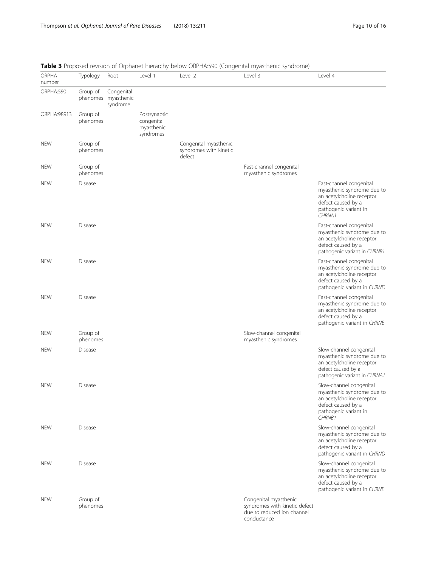| ORPHA        | Typology             | Root                                          | Level 1                                               | Level 2                                                   | <b>TWAIS S</b> I reposed revision or expirance including below Online (220 (Congerman ingustricitie syndrome)<br>Level 3 | Level 4                                                                                                                                     |
|--------------|----------------------|-----------------------------------------------|-------------------------------------------------------|-----------------------------------------------------------|--------------------------------------------------------------------------------------------------------------------------|---------------------------------------------------------------------------------------------------------------------------------------------|
| number       |                      |                                               |                                                       |                                                           |                                                                                                                          |                                                                                                                                             |
| ORPHA:590    | Group of             | Congenital<br>phenomes myasthenic<br>syndrome |                                                       |                                                           |                                                                                                                          |                                                                                                                                             |
| ORPHA: 98913 | Group of<br>phenomes |                                               | Postsynaptic<br>congenital<br>myasthenic<br>syndromes |                                                           |                                                                                                                          |                                                                                                                                             |
| <b>NEW</b>   | Group of<br>phenomes |                                               |                                                       | Congenital myasthenic<br>syndromes with kinetic<br>defect |                                                                                                                          |                                                                                                                                             |
| <b>NEW</b>   | Group of<br>phenomes |                                               |                                                       |                                                           | Fast-channel congenital<br>myasthenic syndromes                                                                          |                                                                                                                                             |
| NEW          | Disease              |                                               |                                                       |                                                           |                                                                                                                          | Fast-channel congenital<br>myasthenic syndrome due to<br>an acetylcholine receptor<br>defect caused by a<br>pathogenic variant in<br>CHRNA1 |
| <b>NEW</b>   | <b>Disease</b>       |                                               |                                                       |                                                           |                                                                                                                          | Fast-channel congenital<br>myasthenic syndrome due to<br>an acetylcholine receptor<br>defect caused by a<br>pathogenic variant in CHRNB1    |
| <b>NEW</b>   | <b>Disease</b>       |                                               |                                                       |                                                           |                                                                                                                          | Fast-channel congenital<br>myasthenic syndrome due to<br>an acetylcholine receptor<br>defect caused by a<br>pathogenic variant in CHRND     |
| <b>NEW</b>   | Disease              |                                               |                                                       |                                                           |                                                                                                                          | Fast-channel congenital<br>myasthenic syndrome due to<br>an acetylcholine receptor<br>defect caused by a<br>pathogenic variant in CHRNE     |
| <b>NEW</b>   | Group of<br>phenomes |                                               |                                                       |                                                           | Slow-channel congenital<br>myasthenic syndromes                                                                          |                                                                                                                                             |
| <b>NEW</b>   | <b>Disease</b>       |                                               |                                                       |                                                           |                                                                                                                          | Slow-channel congenital<br>myasthenic syndrome due to<br>an acetylcholine receptor<br>defect caused by a<br>pathogenic variant in CHRNA1    |
| <b>NEW</b>   | Disease              |                                               |                                                       |                                                           |                                                                                                                          | Slow-channel congenital<br>myasthenic syndrome due to<br>an acetylcholine receptor<br>defect caused by a<br>pathogenic variant in<br>CHRNB1 |
| <b>NEW</b>   | <b>Disease</b>       |                                               |                                                       |                                                           |                                                                                                                          | Slow-channel congenital<br>myasthenic syndrome due to<br>an acetylcholine receptor<br>defect caused by a<br>pathogenic variant in CHRND     |
| <b>NEW</b>   | <b>Disease</b>       |                                               |                                                       |                                                           |                                                                                                                          | Slow-channel congenital<br>myasthenic syndrome due to<br>an acetylcholine receptor<br>defect caused by a<br>pathogenic variant in CHRNE     |
| <b>NEW</b>   | Group of<br>phenomes |                                               |                                                       |                                                           | Congenital myasthenic<br>syndromes with kinetic defect<br>due to reduced ion channel<br>conductance                      |                                                                                                                                             |

<span id="page-9-0"></span>Table 3 Proposed revision of Orphanet hierarchy below ORPHA:590 (Congenital myasthenic syndrome)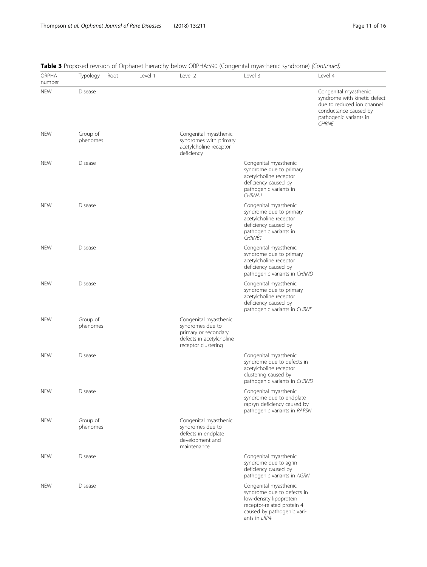| ORPHA<br>number | Typology<br>Root     | Level 1 | Level 2                                                                                                              | Level 3                                                                                                                                                    | Level 4                                                                                                                                                |
|-----------------|----------------------|---------|----------------------------------------------------------------------------------------------------------------------|------------------------------------------------------------------------------------------------------------------------------------------------------------|--------------------------------------------------------------------------------------------------------------------------------------------------------|
| <b>NEW</b>      | <b>Disease</b>       |         |                                                                                                                      |                                                                                                                                                            | Congenital myasthenic<br>syndrome with kinetic defect<br>due to reduced ion channel<br>conductance caused by<br>pathogenic variants in<br><b>CHRNE</b> |
| <b>NEW</b>      | Group of<br>phenomes |         | Congenital myasthenic<br>syndromes with primary<br>acetylcholine receptor<br>deficiency                              |                                                                                                                                                            |                                                                                                                                                        |
| <b>NEW</b>      | <b>Disease</b>       |         |                                                                                                                      | Congenital myasthenic<br>syndrome due to primary<br>acetylcholine receptor<br>deficiency caused by<br>pathogenic variants in<br>CHRNA1                     |                                                                                                                                                        |
| <b>NEW</b>      | <b>Disease</b>       |         |                                                                                                                      | Congenital myasthenic<br>syndrome due to primary<br>acetylcholine receptor<br>deficiency caused by<br>pathogenic variants in<br>CHRNB1                     |                                                                                                                                                        |
| <b>NEW</b>      | <b>Disease</b>       |         |                                                                                                                      | Congenital myasthenic<br>syndrome due to primary<br>acetylcholine receptor<br>deficiency caused by<br>pathogenic variants in CHRND                         |                                                                                                                                                        |
| <b>NEW</b>      | <b>Disease</b>       |         |                                                                                                                      | Congenital myasthenic<br>syndrome due to primary<br>acetylcholine receptor<br>deficiency caused by<br>pathogenic variants in CHRNE                         |                                                                                                                                                        |
| <b>NEW</b>      | Group of<br>phenomes |         | Congenital myasthenic<br>syndromes due to<br>primary or secondary<br>defects in acetylcholine<br>receptor clustering |                                                                                                                                                            |                                                                                                                                                        |
| <b>NEW</b>      | Disease              |         |                                                                                                                      | Congenital myasthenic<br>syndrome due to defects in<br>acetylcholine receptor<br>clustering caused by<br>pathogenic variants in CHRND                      |                                                                                                                                                        |
| <b>NEW</b>      | Disease              |         |                                                                                                                      | Congenital myasthenic<br>syndrome due to endplate<br>rapsyn deficiency caused by<br>pathogenic variants in RAPSN                                           |                                                                                                                                                        |
| <b>NEW</b>      | Group of<br>phenomes |         | Congenital myasthenic<br>syndromes due to<br>defects in endplate<br>development and<br>maintenance                   |                                                                                                                                                            |                                                                                                                                                        |
| <b>NEW</b>      | <b>Disease</b>       |         |                                                                                                                      | Congenital myasthenic<br>syndrome due to agrin<br>deficiency caused by<br>pathogenic variants in AGRN                                                      |                                                                                                                                                        |
| <b>NEW</b>      | <b>Disease</b>       |         |                                                                                                                      | Congenital myasthenic<br>syndrome due to defects in<br>low-density lipoprotein<br>receptor-related protein 4<br>caused by pathogenic vari-<br>ants in LRP4 |                                                                                                                                                        |

# Table 3 Proposed revision of Orphanet hierarchy below ORPHA:590 (Congenital myasthenic syndrome) (Continued)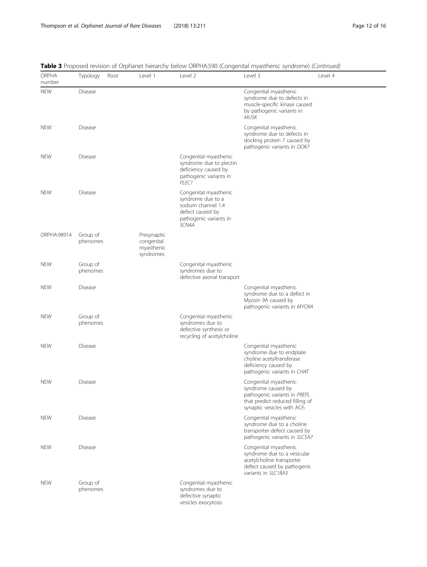| ORPHA<br>number | Typology<br>Root     | Level 1                                              | Level 2                                                                                                                 | <b>Table 3</b> Froposed revision of Orphanet metalchy below Only the 390 (Congerman inyastrichic syndiomic) (Commaca)<br>Level 3             | Level 4 |
|-----------------|----------------------|------------------------------------------------------|-------------------------------------------------------------------------------------------------------------------------|----------------------------------------------------------------------------------------------------------------------------------------------|---------|
| <b>NEW</b>      | Disease              |                                                      |                                                                                                                         | Congenital myasthenic<br>syndrome due to defects in<br>muscle-specific kinase caused<br>by pathogenic variants in<br>MUSK                    |         |
| <b>NEW</b>      | Disease              |                                                      |                                                                                                                         | Congenital myasthenic<br>syndrome due to defects in<br>docking protein 7 caused by<br>pathogenic variants in DOK7                            |         |
| <b>NEW</b>      | <b>Disease</b>       |                                                      | Congenital myasthenic<br>syndrome due to plectin<br>deficiency caused by<br>pathogenic variants in<br>PLEC1             |                                                                                                                                              |         |
| <b>NEW</b>      | <b>Disease</b>       |                                                      | Congenital myasthenic<br>syndrome due to a<br>sodium channel 1.4<br>defect caused by<br>pathogenic variants in<br>SCN4A |                                                                                                                                              |         |
| ORPHA:98914     | Group of<br>phenomes | Presynaptic<br>congenital<br>myasthenic<br>syndromes |                                                                                                                         |                                                                                                                                              |         |
| <b>NEW</b>      | Group of<br>phenomes |                                                      | Congenital myasthenic<br>syndromes due to<br>defective axonal transport                                                 |                                                                                                                                              |         |
| <b>NEW</b>      | Disease              |                                                      |                                                                                                                         | Congenital myasthenic<br>syndrome due to a defect in<br>Myosin 9A caused by<br>pathogenic variants in MYO9A                                  |         |
| <b>NEW</b>      | Group of<br>phenomes |                                                      | Congenital myasthenic<br>syndromes due to<br>defective synthesis or<br>recycling of acetylcholine                       |                                                                                                                                              |         |
| <b>NEW</b>      | <b>Disease</b>       |                                                      |                                                                                                                         | Congenital myasthenic<br>syndrome due to endplate<br>choline acetyltransferase<br>deficiency caused by<br>pathogenic variants in CHAT        |         |
| <b>NEW</b>      | <b>Disease</b>       |                                                      |                                                                                                                         | Congenital myasthenic<br>syndrome caused by<br>pathogenic variants in PREPL<br>that predict reduced filling of<br>synaptic vesicles with ACh |         |
| <b>NEW</b>      | <b>Disease</b>       |                                                      |                                                                                                                         | Congenital myasthenic<br>syndrome due to a choline<br>transporter defect caused by<br>pathogenic variants in SLC5A7                          |         |
| <b>NEW</b>      | <b>Disease</b>       |                                                      |                                                                                                                         | Congenital myasthenic<br>syndrome due to a vesicular<br>acetylcholine transporter<br>defect caused by pathogenic<br>variants in SLC18A3      |         |
| <b>NEW</b>      | Group of<br>phenomes |                                                      | Congenital myasthenic<br>syndromes due to<br>defective synaptic<br>vesicles exocytosis                                  |                                                                                                                                              |         |

Table 3 Proposed revision of Orphanet hierarchy below ORPHA:590 (Congenital myasthenic syndrome) (Continued)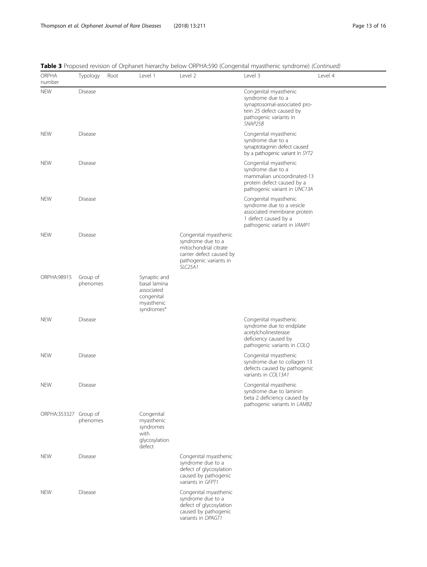| ORPHA<br>number       | Typology<br>Root     | Level 1                                                                                          | Level 2                                                                                                                                     | <b>Table 3</b> Froposed revision of Orphanet meraltriy below Only mosso (Congerinal myastrichic syndiome) (Commaca)<br>Level 3              | Level 4 |
|-----------------------|----------------------|--------------------------------------------------------------------------------------------------|---------------------------------------------------------------------------------------------------------------------------------------------|---------------------------------------------------------------------------------------------------------------------------------------------|---------|
| <b>NEW</b>            | <b>Disease</b>       |                                                                                                  |                                                                                                                                             | Congenital myasthenic<br>syndrome due to a<br>synaptosomal-associated pro-<br>tein 25 defect caused by<br>pathogenic variants in<br>SNAP25B |         |
| <b>NEW</b>            | Disease              |                                                                                                  |                                                                                                                                             | Congenital myasthenic<br>syndrome due to a<br>synaptotagmin defect caused<br>by a pathogenic variant in SYT2                                |         |
| <b>NEW</b>            | <b>Disease</b>       |                                                                                                  |                                                                                                                                             | Congenital myasthenic<br>syndrome due to a<br>mammalian uncoordinated-13<br>protein defect caused by a<br>pathogenic variant in UNC13A      |         |
| <b>NEW</b>            | <b>Disease</b>       |                                                                                                  |                                                                                                                                             | Congenital myasthenic<br>syndrome due to a vesicle<br>associated membrane protein<br>1 defect caused by a<br>pathogenic variant in VAMP1    |         |
| <b>NEW</b>            | Disease              |                                                                                                  | Congenital myasthenic<br>syndrome due to a<br>mitochondrial citrate<br>carrier defect caused by<br>pathogenic variants in<br><b>SLC25A1</b> |                                                                                                                                             |         |
| ORPHA:98915           | Group of<br>phenomes | Synaptic and<br>basal lamina<br>associated<br>congenital<br>myasthenic<br>syndromes <sup>a</sup> |                                                                                                                                             |                                                                                                                                             |         |
| <b>NEW</b>            | <b>Disease</b>       |                                                                                                  |                                                                                                                                             | Congenital myasthenic<br>syndrome due to endplate<br>acetylcholinesterase<br>deficiency caused by<br>pathogenic variants in COLQ            |         |
| <b>NEW</b>            | <b>Disease</b>       |                                                                                                  |                                                                                                                                             | Congenital myasthenic<br>syndrome due to collagen 13<br>defects caused by pathogenic<br>variants in COI 13A1                                |         |
| <b>NEW</b>            | Disease              |                                                                                                  |                                                                                                                                             | Congenital myasthenic<br>syndrome due to laminin<br>beta 2 deficiency caused by<br>pathogenic variants in LAMB2                             |         |
| ORPHA:353327 Group of | phenomes             | Congenital<br>myasthenic<br>syndromes<br>with<br>glycosylation<br>defect                         |                                                                                                                                             |                                                                                                                                             |         |
| <b>NEW</b>            | <b>Disease</b>       |                                                                                                  | Congenital myasthenic<br>syndrome due to a<br>defect of glycosylation<br>caused by pathogenic<br>variants in GFPT1                          |                                                                                                                                             |         |
| <b>NEW</b>            | <b>Disease</b>       |                                                                                                  | Congenital myasthenic<br>syndrome due to a<br>defect of glycosylation<br>caused by pathogenic<br>variants in DPAGT1                         |                                                                                                                                             |         |

Table 3 Proposed revision of Orphanet hierarchy below ORPHA:590 (Congenital myasthenic syndrome) (Continued)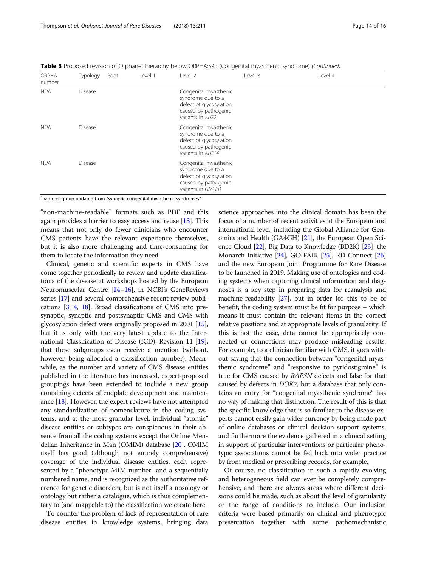Table 3 Proposed revision of Orphanet hierarchy below ORPHA:590 (Congenital myasthenic syndrome) (Continued)

| ORPHA<br>number | Typology<br>Root | Level 1 | Level 2                                                                                                            | Level 3 | Level 4 |
|-----------------|------------------|---------|--------------------------------------------------------------------------------------------------------------------|---------|---------|
| <b>NEW</b>      | <b>Disease</b>   |         | Congenital myasthenic<br>syndrome due to a<br>defect of glycosylation<br>caused by pathogenic<br>variants in ALG2  |         |         |
| <b>NEW</b>      | <b>Disease</b>   |         | Congenital myasthenic<br>syndrome due to a<br>defect of glycosylation<br>caused by pathogenic<br>variants in ALG14 |         |         |
| <b>NEW</b>      | <b>Disease</b>   |         | Congenital myasthenic<br>syndrome due to a<br>defect of glycosylation<br>caused by pathogenic<br>variants in GMPPB |         |         |

<sup>a</sup>name of group updated from "synaptic congenital myasthenic syndromes"

"non-machine-readable" formats such as PDF and this again provides a barrier to easy access and reuse [\[13\]](#page-15-0). This means that not only do fewer clinicians who encounter CMS patients have the relevant experience themselves, but it is also more challenging and time-consuming for them to locate the information they need.

Clinical, genetic and scientific experts in CMS have come together periodically to review and update classifications of the disease at workshops hosted by the European Neuromuscular Centre [\[14](#page-15-0)–[16](#page-15-0)], in NCBI's GeneReviews series [[17](#page-15-0)] and several comprehensive recent review publications [[3,](#page-15-0) [4](#page-15-0), [18](#page-15-0)]. Broad classifications of CMS into presynaptic, synaptic and postsynaptic CMS and CMS with glycosylation defect were originally proposed in 2001 [[15](#page-15-0)], but it is only with the very latest update to the International Classification of Disease (ICD), Revision 11 [[19](#page-15-0)], that these subgroups even receive a mention (without, however, being allocated a classification number). Meanwhile, as the number and variety of CMS disease entities published in the literature has increased, expert-proposed groupings have been extended to include a new group containing defects of endplate development and maintenance [[18](#page-15-0)]. However, the expert reviews have not attempted any standardization of nomenclature in the coding systems, and at the most granular level, individual "atomic" disease entities or subtypes are conspicuous in their absence from all the coding systems except the Online Mendelian Inheritance in Man (OMIM) database [[20](#page-15-0)]. OMIM itself has good (although not entirely comprehensive) coverage of the individual disease entities, each represented by a "phenotype MIM number" and a sequentially numbered name, and is recognized as the authoritative reference for genetic disorders, but is not itself a nosology or ontology but rather a catalogue, which is thus complementary to (and mappable to) the classification we create here.

To counter the problem of lack of representation of rare disease entities in knowledge systems, bringing data

science approaches into the clinical domain has been the focus of a number of recent activities at the European and international level, including the Global Alliance for Genomics and Health (GA4GH) [[21](#page-15-0)], the European Open Science Cloud [[22](#page-15-0)], Big Data to Knowledge (BD2K) [\[23\]](#page-15-0), the Monarch Initiative [[24](#page-15-0)], GO-FAIR [\[25](#page-15-0)], RD-Connect [[26](#page-15-0)] and the new European Joint Programme for Rare Disease to be launched in 2019. Making use of ontologies and coding systems when capturing clinical information and diagnoses is a key step in preparing data for reanalysis and machine-readability [\[27\]](#page-15-0), but in order for this to be of benefit, the coding system must be fit for purpose – which means it must contain the relevant items in the correct relative positions and at appropriate levels of granularity. If this is not the case, data cannot be appropriately connected or connections may produce misleading results. For example, to a clinician familiar with CMS, it goes without saying that the connection between "congenital myasthenic syndrome" and "responsive to pyridostigmine" is true for CMS caused by RAPSN defects and false for that caused by defects in DOK7, but a database that only contains an entry for "congenital myasthenic syndrome" has no way of making that distinction. The result of this is that the specific knowledge that is so familiar to the disease experts cannot easily gain wider currency by being made part of online databases or clinical decision support systems, and furthermore the evidence gathered in a clinical setting in support of particular interventions or particular phenotypic associations cannot be fed back into wider practice by from medical or prescribing records, for example.

Of course, no classification in such a rapidly evolving and heterogeneous field can ever be completely comprehensive, and there are always areas where different decisions could be made, such as about the level of granularity or the range of conditions to include. Our inclusion criteria were based primarily on clinical and phenotypic presentation together with some pathomechanistic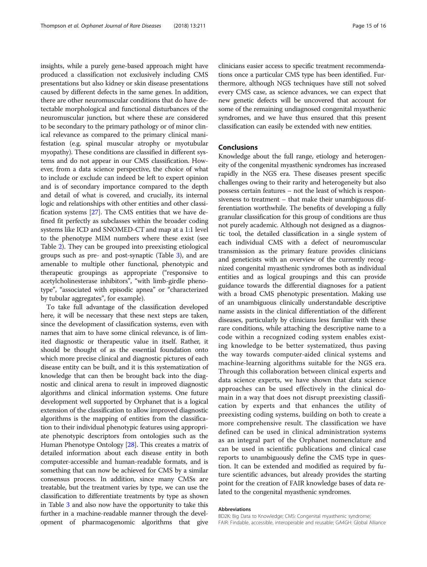insights, while a purely gene-based approach might have produced a classification not exclusively including CMS presentations but also kidney or skin disease presentations caused by different defects in the same genes. In addition, there are other neuromuscular conditions that do have detectable morphological and functional disturbances of the neuromuscular junction, but where these are considered to be secondary to the primary pathology or of minor clinical relevance as compared to the primary clinical manifestation (e.g. spinal muscular atrophy or myotubular myopathy). These conditions are classified in different systems and do not appear in our CMS classification. However, from a data science perspective, the choice of what to include or exclude can indeed be left to expert opinion and is of secondary importance compared to the depth and detail of what is covered, and crucially, its internal logic and relationships with other entities and other classification systems [[27](#page-15-0)]. The CMS entities that we have defined fit perfectly as subclasses within the broader coding systems like ICD and SNOMED-CT and map at a 1:1 level to the phenotype MIM numbers where these exist (see Table [2](#page-3-0)). They can be grouped into preexisting etiological groups such as pre- and post-synaptic (Table [3\)](#page-9-0), and are amenable to multiple other functional, phenotypic and therapeutic groupings as appropriate ("responsive to acetylcholinesterase inhibitors", "with limb-girdle phenotype", "associated with episodic apnea" or "characterized by tubular aggregates", for example).

To take full advantage of the classification developed here, it will be necessary that these next steps are taken, since the development of classification systems, even with names that aim to have some clinical relevance, is of limited diagnostic or therapeutic value in itself. Rather, it should be thought of as the essential foundation onto which more precise clinical and diagnostic pictures of each disease entity can be built, and it is this systematization of knowledge that can then be brought back into the diagnostic and clinical arena to result in improved diagnostic algorithms and clinical information systems. One future development well supported by Orphanet that is a logical extension of the classification to allow improved diagnostic algorithms is the mapping of entities from the classification to their individual phenotypic features using appropriate phenotypic descriptors from ontologies such as the Human Phenotype Ontology [\[28](#page-15-0)]. This creates a matrix of detailed information about each disease entity in both computer-accessible and human-readable formats, and is something that can now be achieved for CMS by a similar consensus process. In addition, since many CMSs are treatable, but the treatment varies by type, we can use the classification to differentiate treatments by type as shown in Table [3](#page-9-0) and also now have the opportunity to take this further in a machine-readable manner through the development of pharmacogenomic algorithms that give

clinicians easier access to specific treatment recommendations once a particular CMS type has been identified. Furthermore, although NGS techniques have still not solved every CMS case, as science advances, we can expect that new genetic defects will be uncovered that account for some of the remaining undiagnosed congenital myasthenic syndromes, and we have thus ensured that this present classification can easily be extended with new entities.

## Conclusions

Knowledge about the full range, etiology and heterogeneity of the congenital myasthenic syndromes has increased rapidly in the NGS era. These diseases present specific challenges owing to their rarity and heterogeneity but also possess certain features – not the least of which is responsiveness to treatment – that make their unambiguous differentiation worthwhile. The benefits of developing a fully granular classification for this group of conditions are thus not purely academic. Although not designed as a diagnostic tool, the detailed classification in a single system of each individual CMS with a defect of neuromuscular transmission as the primary feature provides clinicians and geneticists with an overview of the currently recognized congenital myasthenic syndromes both as individual entities and as logical groupings and this can provide guidance towards the differential diagnoses for a patient with a broad CMS phenotypic presentation. Making use of an unambiguous clinically understandable descriptive name assists in the clinical differentiation of the different diseases, particularly by clinicians less familiar with these rare conditions, while attaching the descriptive name to a code within a recognized coding system enables existing knowledge to be better systematized, thus paving the way towards computer-aided clinical systems and machine-learning algorithms suitable for the NGS era. Through this collaboration between clinical experts and data science experts, we have shown that data science approaches can be used effectively in the clinical domain in a way that does not disrupt preexisting classification by experts and that enhances the utility of preexisting coding systems, building on both to create a more comprehensive result. The classification we have defined can be used in clinical administration systems as an integral part of the Orphanet nomenclature and can be used in scientific publications and clinical case reports to unambiguously define the CMS type in question. It can be extended and modified as required by future scientific advances, but already provides the starting point for the creation of FAIR knowledge bases of data related to the congenital myasthenic syndromes.

#### Abbreviations

BD2K: Big Data to Knowledge; CMS: Congenital myasthenic syndrome; FAIR: Findable, accessible, interoperable and reusable; GA4GH: Global Alliance